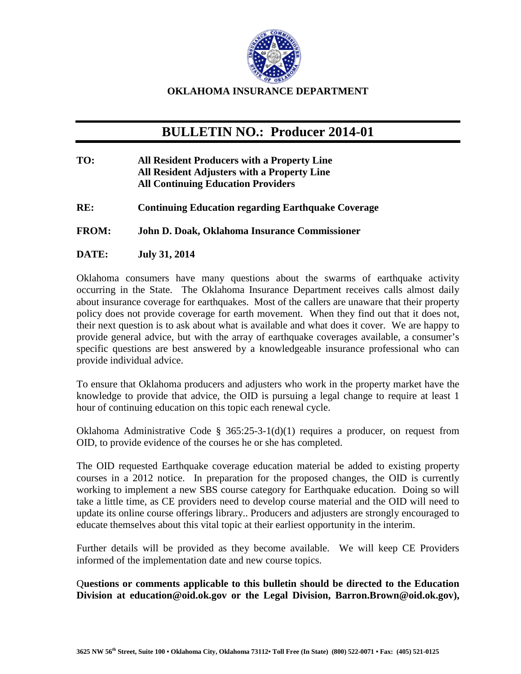

## **OKLAHOMA INSURANCE DEPARTMENT**

## **BULLETIN NO.: Producer 2014-01**

- **TO: All Resident Producers with a Property Line All Resident Adjusters with a Property Line All Continuing Education Providers**
- **RE: Continuing Education regarding Earthquake Coverage**
- **FROM: John D. Doak, Oklahoma Insurance Commissioner**
- **DATE: July 31, 2014**

Oklahoma consumers have many questions about the swarms of earthquake activity occurring in the State. The Oklahoma Insurance Department receives calls almost daily about insurance coverage for earthquakes. Most of the callers are unaware that their property policy does not provide coverage for earth movement. When they find out that it does not, their next question is to ask about what is available and what does it cover. We are happy to provide general advice, but with the array of earthquake coverages available, a consumer's specific questions are best answered by a knowledgeable insurance professional who can provide individual advice.

To ensure that Oklahoma producers and adjusters who work in the property market have the knowledge to provide that advice, the OID is pursuing a legal change to require at least 1 hour of continuing education on this topic each renewal cycle.

Oklahoma Administrative Code § 365:25-3-1(d)(1) requires a producer, on request from OID, to provide evidence of the courses he or she has completed.

The OID requested Earthquake coverage education material be added to existing property courses in a 2012 notice. In preparation for the proposed changes, the OID is currently working to implement a new SBS course category for Earthquake education. Doing so will take a little time, as CE providers need to develop course material and the OID will need to update its online course offerings library.. Producers and adjusters are strongly encouraged to educate themselves about this vital topic at their earliest opportunity in the interim.

Further details will be provided as they become available. We will keep CE Providers informed of the implementation date and new course topics.

Q**uestions or comments applicable to this bulletin should be directed to the Education Division at education@oid.ok.gov or the Legal Division, Barron.Brown@oid.ok.gov),**